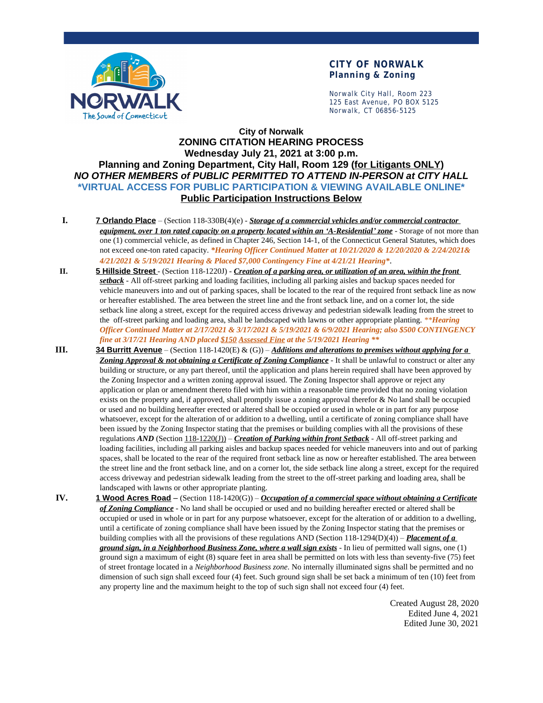

## **CITY OF NORWALK Planning & Zoning**

Norwalk City Hall, Room 223 125 East Avenue, PO BOX 5125 Norwalk, CT 06856-5125

## **City of Norwalk ZONING CITATION HEARING PROCESS Wednesday July 21, 2021 at 3:00 p.m. Planning and Zoning Department, City Hall, Room 129 (for Litigants ONLY)** *NO OTHER MEMBERS of PUBLIC PERMITTED TO ATTEND IN-PERSON at CITY HALL* **\*VIRTUAL ACCESS FOR PUBLIC PARTICIPATION & VIEWING AVAILABLE ONLINE\* Public Participation Instructions Below**

- **I. 7 Orlando Place** (Section 118-330B(4)(e) *Storage of a commercial vehicles and/or commercial contractor equipment, over 1 ton rated capacity on a property located within an 'A-Residential' zone* - Storage of not more than one (1) commercial vehicle, as defined in Chapter 246, Section 14-1, of the Connecticut General Statutes, which does not exceed one-ton rated capacity. *\*Hearing Officer Continued Matter at 10/21/2020 & 12/20/2020 & 2/24/2021& 4/21/2021 & 5/19/2021 Hearing & Placed \$7,000 Contingency Fine at 4/21/21 Hearing\**.
- **II. 5 Hillside Street** (Section 118-1220J) *Creation of a parking area, or utilization of an area, within the front setback* - All off-street parking and loading facilities, including all parking aisles and backup spaces needed for vehicle maneuvers into and out of parking spaces, shall be located to the rear of the required front setback line as now or hereafter established. The area between the street line and the front setback line, and on a corner lot, the side setback line along a street, except for the required access driveway and pedestrian sidewalk leading from the street to the off-street parking and loading area, shall be landscaped with lawns or other appropriate planting. *\*\*Hearing Officer Continued Matter at 2/17/2021 & 3/17/2021 & 5/19/2021 & 6/9/2021 Hearing; also \$500 CONTINGENCY fine at 3/17/21 Hearing AND placed \$150 Assessed Fine at the 5/19/2021 Hearing \*\**
- **III. 34 Burritt Avenue** (Section 118-1420(E) & (G)) *Additions and alterations to premises without applying for a Zoning Approval & not obtaining a Certificate of Zoning Compliance* - It shall be unlawful to construct or alter any building or structure, or any part thereof, until the application and plans herein required shall have been approved by the Zoning Inspector and a written zoning approval issued. The Zoning Inspector shall approve or reject any application or plan or amendment thereto filed with him within a reasonable time provided that no zoning violation exists on the property and, if approved, shall promptly issue a zoning approval therefor & No land shall be occupied or used and no building hereafter erected or altered shall be occupied or used in whole or in part for any purpose whatsoever, except for the alteration of or addition to a dwelling, until a certificate of zoning compliance shall have been issued by the Zoning Inspector stating that the premises or building complies with all the provisions of these regulations *AND* (Section 118-1220(J)) – *Creation of Parking within front Setback* - All off-street parking and loading facilities, including all parking aisles and backup spaces needed for vehicle maneuvers into and out of parking spaces, shall be located to the rear of the required front setback line as now or hereafter established. The area between the street line and the front setback line, and on a corner lot, the side setback line along a street, except for the required access driveway and pedestrian sidewalk leading from the street to the off-street parking and loading area, shall be landscaped with lawns or other appropriate planting.
- **IV. 1 Wood Acres Road** (Section 118-1420(G)) *Occupation of a commercial space without obtaining a Certificate of Zoning Compliance* - No land shall be occupied or used and no building hereafter erected or altered shall be occupied or used in whole or in part for any purpose whatsoever, except for the alteration of or addition to a dwelling, until a certificate of zoning compliance shall have been issued by the Zoning Inspector stating that the premises or building complies with all the provisions of these regulations AND (Section 118-1294(D)(4)) – *Placement of a ground sign, in a Neighborhood Business Zone, where a wall sign exists* - In lieu of permitted wall signs, one (1) ground sign a maximum of eight (8) square feet in area shall be permitted on lots with less than seventy-five (75) feet of street frontage located in a *Neighborhood Business zone*. No internally illuminated signs shall be permitted and no dimension of such sign shall exceed four (4) feet. Such ground sign shall be set back a minimum of ten (10) feet from any property line and the maximum height to the top of such sign shall not exceed four (4) feet.

Created August 28, 2020 Edited June 4, 2021 Edited June 30, 2021